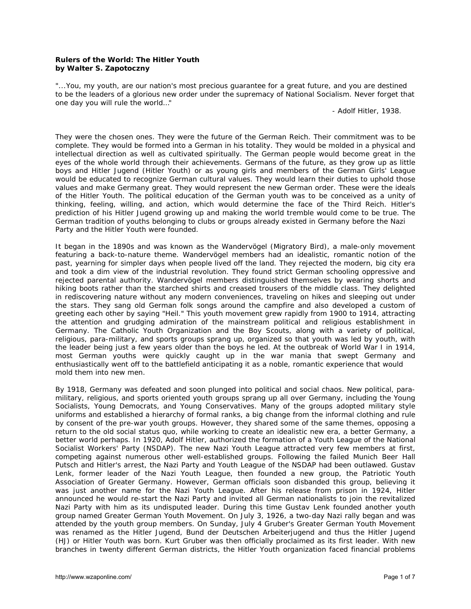## **Rulers of the World: The Hitler Youth by Walter S. Zapotoczny**

*"...You, my youth, are our nation's most precious guarantee for a great future, and you are destined*  to be the leaders of a glorious new order under the supremacy of National Socialism. Never forget that *one day you will rule the world…"* 

 *- Adolf Hitler, 1938.*

They were the chosen ones. They were the future of the German Reich. Their commitment was to be complete. They would be formed into a German in his totality. They would be molded in a physical and intellectual direction as well as cultivated spiritually. The German people would become great in the eyes of the whole world through their achievements. Germans of the future, as they grow up as little boys and *Hitler Jugend* (Hitler Youth) or as young girls and members of the German Girls' League would be educated to recognize German cultural values. They would learn their duties to uphold those values and make Germany great. They would represent the new German order. These were the ideals of the Hitler Youth. The political education of the German youth was to be conceived as a unity of thinking, feeling, willing, and action, which would determine the face of the Third Reich. Hitler's prediction of his *Hitler Jugend* growing up and making the world tremble would come to be true. The German tradition of youths belonging to clubs or groups already existed in Germany before the Nazi Party and the Hitler Youth were founded.

It began in the 1890s and was known as the *Wandervögel* (Migratory Bird), a male-only movement featuring a back-to-nature theme. *Wandervögel* members had an idealistic, romantic notion of the past, yearning for simpler days when people lived off the land. They rejected the modern, big city era and took a dim view of the industrial revolution. They found strict German schooling oppressive and rejected parental authority. *Wandervögel* members distinguished themselves by wearing shorts and hiking boots rather than the starched shirts and creased trousers of the middle class. They delighted in rediscovering nature without any modern conveniences, traveling on hikes and sleeping out under the stars. They sang old German folk songs around the campfire and also developed a custom of greeting each other by saying "Heil." This youth movement grew rapidly from 1900 to 1914, attracting the attention and grudging admiration of the mainstream political and religious establishment in Germany. The Catholic Youth Organization and the Boy Scouts, along with a variety of political, religious, para-military, and sports groups sprang up, organized so that youth was led by youth, with the leader being just a few years older than the boys he led. At the outbreak of World War I in 1914, most German youths were quickly caught up in the war mania that swept Germany and enthusiastically went off to the battlefield anticipating it as a noble, romantic experience that would mold them into new men.

By 1918, Germany was defeated and soon plunged into political and social chaos. New political, paramilitary, religious, and sports oriented youth groups sprang up all over Germany, including the Young Socialists, Young Democrats, and Young Conservatives. Many of the groups adopted military style uniforms and established a hierarchy of formal ranks, a big change from the informal clothing and rule by consent of the pre-war youth groups. However, they shared some of the same themes, opposing a return to the old social status quo, while working to create an idealistic new era, a better Germany, a better world perhaps. In 1920, Adolf Hitler, authorized the formation of a Youth League of the National Socialist Workers' Party (NSDAP). The new Nazi Youth League attracted very few members at first, competing against numerous other well-established groups. Following the failed Munich Beer Hall Putsch and Hitler's arrest, the Nazi Party and Youth League of the NSDAP had been outlawed. Gustav Lenk, former leader of the Nazi Youth League, then founded a new group, the Patriotic Youth Association of Greater Germany. However, German officials soon disbanded this group, believing it was just another name for the Nazi Youth League. After his release from prison in 1924, Hitler announced he would re-start the Nazi Party and invited all German nationalists to join the revitalized Nazi Party with him as its undisputed leader. During this time Gustav Lenk founded another youth group named Greater German Youth Movement. On July 3, 1926, a two-day Nazi rally began and was attended by the youth group members. On Sunday, July 4 Gruber's Greater German Youth Movement was renamed as the *Hitler Jugend*, *Bund der Deutschen Arbeiterjugend* and thus the *Hitler Jugend* (HJ) or Hitler Youth was born. Kurt Gruber was then officially proclaimed as its first leader. With new branches in twenty different German districts, the Hitler Youth organization faced financial problems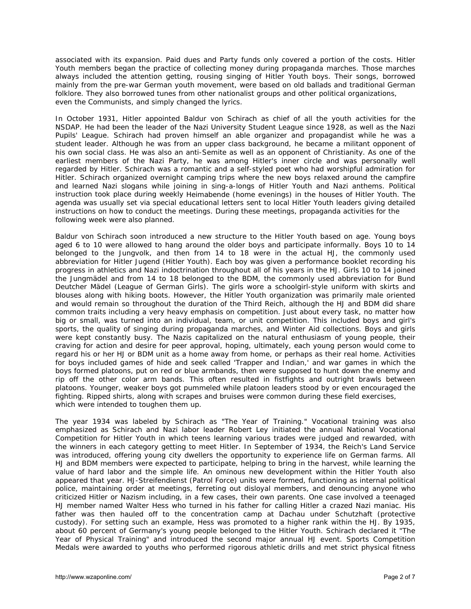associated with its expansion. Paid dues and Party funds only covered a portion of the costs. Hitler Youth members began the practice of collecting money during propaganda marches. Those marches always included the attention getting, rousing singing of Hitler Youth boys. Their songs, borrowed mainly from the pre-war German youth movement, were based on old ballads and traditional German folklore. They also borrowed tunes from other nationalist groups and other political organizations, even the Communists, and simply changed the lyrics.

In October 1931, Hitler appointed Baldur von Schirach as chief of all the youth activities for the NSDAP. He had been the leader of the Nazi University Student League since 1928, as well as the Nazi Pupils' League. Schirach had proven himself an able organizer and propagandist while he was a student leader. Although he was from an upper class background, he became a militant opponent of his own social class. He was also an anti-Semite as well as an opponent of Christianity. As one of the earliest members of the Nazi Party, he was among Hitler's inner circle and was personally well regarded by Hitler. Schirach was a romantic and a self-styled poet who had worshipful admiration for Hitler. Schirach organized overnight camping trips where the new boys relaxed around the campfire and learned Nazi slogans while joining in sing-a-longs of Hitler Youth and Nazi anthems. Political instruction took place during weekly *Heimabende* (home evenings) in the houses of Hitler Youth. The agenda was usually set via special educational letters sent to local Hitler Youth leaders giving detailed instructions on how to conduct the meetings. During these meetings, propaganda activities for the following week were also planned.

Baldur von Schirach soon introduced a new structure to the Hitler Youth based on age. Young boys aged 6 to 10 were allowed to hang around the older boys and participate informally. Boys 10 to 14 belonged to the *Jungvolk*, and then from 14 to 18 were in the actual HJ, the commonly used abbreviation for *Hitler Jugend* (Hitler Youth). Each boy was given a performance booklet recording his progress in athletics and Nazi indoctrination throughout all of his years in the HJ. Girls 10 to 14 joined the *Jungmädel* and from 14 to 18 belonged to the BDM, the commonly used abbreviation for *Bund Deutcher Mädel* (League of German Girls). The girls wore a schoolgirl-style uniform with skirts and blouses along with hiking boots. However, the Hitler Youth organization was primarily male oriented and would remain so throughout the duration of the Third Reich, although the HJ and BDM did share common traits including a very heavy emphasis on competition. Just about every task, no matter how big or small, was turned into an individual, team, or unit competition. This included boys and girl's sports, the quality of singing during propaganda marches, and Winter Aid collections. Boys and girls were kept constantly busy. The Nazis capitalized on the natural enthusiasm of young people, their craving for action and desire for peer approval, hoping, ultimately, each young person would come to regard his or her HJ or BDM unit as a home away from home, or perhaps as their real home. Activities for boys included games of hide and seek called 'Trapper and Indian,' and war games in which the boys formed platoons, put on red or blue armbands, then were supposed to hunt down the enemy and rip off the other color arm bands. This often resulted in fistfights and outright brawls between platoons. Younger, weaker boys got pummeled while platoon leaders stood by or even encouraged the fighting. Ripped shirts, along with scrapes and bruises were common during these field exercises, which were intended to toughen them up.

The year 1934 was labeled by Schirach as "The Year of Training." Vocational training was also emphasized as Schirach and Nazi labor leader Robert Ley initiated the annual National Vocational Competition for Hitler Youth in which teens learning various trades were judged and rewarded, with the winners in each category getting to meet Hitler. In September of 1934, the Reich's Land Service was introduced, offering young city dwellers the opportunity to experience life on German farms. All HJ and BDM members were expected to participate, helping to bring in the harvest, while learning the value of hard labor and the simple life. An ominous new development within the Hitler Youth also appeared that year. *HJ-Streifendienst* (Patrol Force) units were formed, functioning as internal political police, maintaining order at meetings, ferreting out disloyal members, and denouncing anyone who criticized Hitler or Nazism including, in a few cases, their own parents. One case involved a teenaged HJ member named Walter Hess who turned in his father for calling Hitler a crazed Nazi maniac. His father was then hauled off to the concentration camp at Dachau under *Schutzhaft* (protective custody). For setting such an example, Hess was promoted to a higher rank within the HJ. By 1935, about 60 percent of Germany's young people belonged to the Hitler Youth. Schirach declared it "The Year of Physical Training" and introduced the second major annual HJ event. Sports Competition Medals were awarded to youths who performed rigorous athletic drills and met strict physical fitness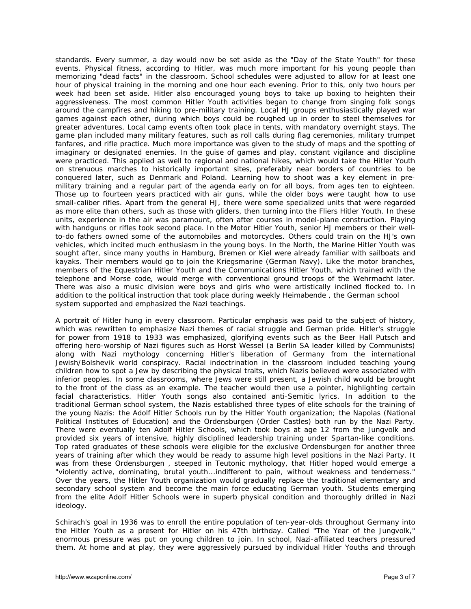standards. Every summer, a day would now be set aside as the "Day of the State Youth" for these events. Physical fitness, according to Hitler, was much more important for his young people than memorizing "dead facts" in the classroom. School schedules were adjusted to allow for at least one hour of physical training in the morning and one hour each evening. Prior to this, only two hours per week had been set aside. Hitler also encouraged young boys to take up boxing to heighten their aggressiveness. The most common Hitler Youth activities began to change from singing folk songs around the campfires and hiking to pre-military training. Local HJ groups enthusiastically played war games against each other, during which boys could be roughed up in order to steel themselves for greater adventures. Local camp events often took place in tents, with mandatory overnight stays. The game plan included many military features, such as roll calls during flag ceremonies, military trumpet fanfares, and rifle practice. Much more importance was given to the study of maps and the spotting of imaginary or designated enemies. In the guise of games and play, constant vigilance and discipline were practiced. This applied as well to regional and national hikes, which would take the Hitler Youth on strenuous marches to historically important sites, preferably near borders of countries to be conquered later, such as Denmark and Poland. Learning how to shoot was a key element in premilitary training and a regular part of the agenda early on for all boys, from ages ten to eighteen. Those up to fourteen years practiced with air guns, while the older boys were taught how to use small-caliber rifles. Apart from the general HJ, there were some specialized units that were regarded as more elite than others, such as those with gliders, then turning into the *Fliers Hitler Youth*. In these units, experience in the air was paramount, often after courses in model-plane construction. Playing with handguns or rifles took second place. In the *Motor Hitler Youth*, senior HJ members or their wellto-do fathers owned some of the automobiles and motorcycles. Others could train on the HJ's own vehicles, which incited much enthusiasm in the young boys. In the North, the *Marine Hitler Youth* was sought after, since many youths in Hamburg, Bremen or Kiel were already familiar with sailboats and kayaks. Their members would go to join the *Kriegsmarine* (German Navy). Like the motor branches, members of the *Equestrian Hitler Youth* and the *Communications Hitler Youth*, which trained with the telephone and Morse code, would merge with conventional ground troops of the *Wehrmacht* later. There was also a music division were boys and girls who were artistically inclined flocked to. In addition to the political instruction that took place during weekly *Heimabende* , the German school system supported and emphasized the Nazi teachings.

A portrait of Hitler hung in every classroom. Particular emphasis was paid to the subject of history, which was rewritten to emphasize Nazi themes of racial struggle and German pride. Hitler's struggle for power from 1918 to 1933 was emphasized, glorifying events such as the Beer Hall Putsch and offering hero-worship of Nazi figures such as Horst Wessel (a Berlin SA leader killed by Communists) along with Nazi mythology concerning Hitler's liberation of Germany from the international Jewish/Bolshevik world conspiracy. Racial indoctrination in the classroom included teaching young children how to spot a Jew by describing the physical traits, which Nazis believed were associated with inferior peoples. In some classrooms, where Jews were still present, a Jewish child would be brought to the front of the class as an example. The teacher would then use a pointer, highlighting certain facial characteristics. Hitler Youth songs also contained anti-Semitic lyrics. In addition to the traditional German school system, the Nazis established three types of elite schools for the training of the young Nazis: the Adolf Hitler Schools run by the Hitler Youth organization; the Napolas (National Political Institutes of Education) and the *Ordensburgen* (Order Castles) both run by the Nazi Party. There were eventually ten Adolf Hitler Schools, which took boys at age 12 from the *Jungvolk* and provided six years of intensive, highly disciplined leadership training under Spartan-like conditions. Top rated graduates of these schools were eligible for the exclusive *Ordensburgen* for another three years of training after which they would be ready to assume high level positions in the Nazi Party. It was from these *Ordensburgen* , steeped in Teutonic mythology, that Hitler hoped would emerge a "violently active, dominating, brutal youth...indifferent to pain, without weakness and tenderness." Over the years, the Hitler Youth organization would gradually replace the traditional elementary and secondary school system and become the main force educating German youth. Students emerging from the elite Adolf Hitler Schools were in superb physical condition and thoroughly drilled in Nazi ideology.

Schirach's goal in 1936 was to enroll the entire population of ten-year-olds throughout Germany into the Hitler Youth as a present for Hitler on his 47th birthday. Called "The Year of the *Jungvolk*," enormous pressure was put on young children to join. In school, Nazi-affiliated teachers pressured them. At home and at play, they were aggressively pursued by individual Hitler Youths and through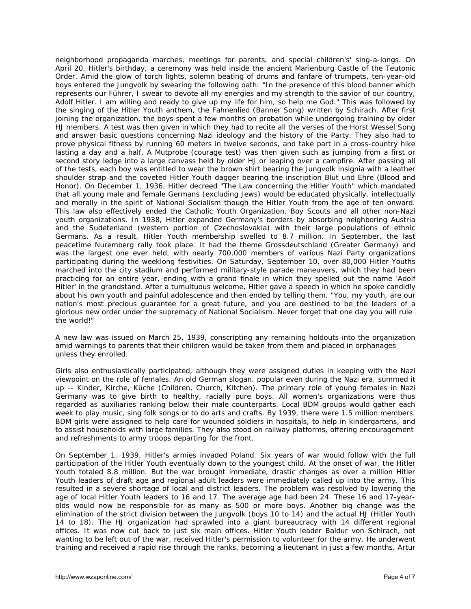neighborhood propaganda marches, meetings for parents, and special children's' sing-a-longs. On April 20, Hitler's birthday, a ceremony was held inside the ancient Marienburg Castle of the Teutonic Order. Amid the glow of torch lights, solemn beating of drums and fanfare of trumpets, ten-year-old boys entered the *Jungvolk* by swearing the following oath: "In the presence of this blood banner which represents our Führer, I swear to devote all my energies and my strength to the savior of our country, Adolf Hitler. I am willing and ready to give up my life for him, so help me God." This was followed by the singing of the Hitler Youth anthem, the *Fahnenlied* (Banner Song) written by Schirach. After first joining the organization, the boys spent a few months on probation while undergoing training by older HJ members. A test was then given in which they had to recite all the verses of the Horst Wessel Song and answer basic questions concerning Nazi ideology and the history of the Party. They also had to prove physical fitness by running 60 meters in twelve seconds, and take part in a cross-country hike lasting a day and a half. A *Mutprobe* (courage test) was then given such as jumping from a first or second story ledge into a large canvass held by older HJ or leaping over a campfire. After passing all of the tests, each boy was entitled to wear the brown shirt bearing the *Jungvolk* insignia with a leather shoulder strap and the coveted Hitler Youth dagger bearing the inscription Blut und Ehre (Blood and Honor). On December 1, 1936, Hitler decreed "The Law concerning the Hitler Youth" which mandated that all young male and female Germans (excluding Jews) would be educated physically, intellectually and morally in the spirit of National Socialism though the Hitler Youth from the age of ten onward. This law also effectively ended the Catholic Youth Organization, Boy Scouts and all other non-Nazi youth organizations. In 1938, Hitler expanded Germany's borders by absorbing neighboring Austria and the Sudetenland (western portion of Czechoslovakia) with their large populations of ethnic Germans. As a result, Hitler Youth membership swelled to 8.7 million. In September, the last peacetime Nuremberg rally took place. It had the theme *Grossdeutschland* (Greater Germany) and was the largest one ever held, with nearly 700,000 members of various Nazi Party organizations participating during the weeklong festivities. On Saturday, September 10, over 80,000 Hitler Youths marched into the city stadium and performed military-style parade maneuvers, which they had been practicing for an entire year, ending with a grand finale in which they spelled out the name 'Adolf Hitler' in the grandstand. After a tumultuous welcome, Hitler gave a speech in which he spoke candidly about his own youth and painful adolescence and then ended by telling them, "You, my youth, are our nation's most precious guarantee for a great future, and you are destined to be the leaders of a glorious new order under the supremacy of National Socialism. Never forget that one day you will rule the world!"

A new law was issued on March 25, 1939, conscripting any remaining holdouts into the organization amid warnings to parents that their children would be taken from them and placed in orphanages unless they enrolled.

Girls also enthusiastically participated, although they were assigned duties in keeping with the Nazi viewpoint on the role of females. An old German slogan, popular even during the Nazi era, summed it up -- *Kinder, Kirche, Küche* (Children, Church, Kitchen). The primary role of young females in Nazi Germany was to give birth to healthy, racially pure boys. All women's organizations were thus regarded as auxiliaries ranking below their male counterparts. Local BDM groups would gather each week to play music, sing folk songs or to do arts and crafts. By 1939, there were 1.5 million members. BDM girls were assigned to help care for wounded soldiers in hospitals, to help in kindergartens, and to assist households with large families. They also stood on railway platforms, offering encouragement and refreshments to army troops departing for the front.

On September 1, 1939, Hitler's armies invaded Poland. Six years of war would follow with the full participation of the Hitler Youth eventually down to the youngest child. At the onset of war, the Hitler Youth totaled 8.8 million. But the war brought immediate, drastic changes as over a million Hitler Youth leaders of draft age and regional adult leaders were immediately called up into the army. This resulted in a severe shortage of local and district leaders. The problem was resolved by lowering the age of local Hitler Youth leaders to 16 and 17. The average age had been 24. These 16 and 17-yearolds would now be responsible for as many as 500 or more boys. Another big change was the elimination of the strict division between the *Jungvolk* (boys 10 to 14) and the actual HJ (Hitler Youth 14 to 18). The HJ organization had sprawled into a giant bureaucracy with 14 different regional offices. It was now cut back to just six main offices. Hitler Youth leader Baldur von Schirach, not wanting to be left out of the war, received Hitler's permission to volunteer for the army. He underwent training and received a rapid rise through the ranks, becoming a lieutenant in just a few months. Artur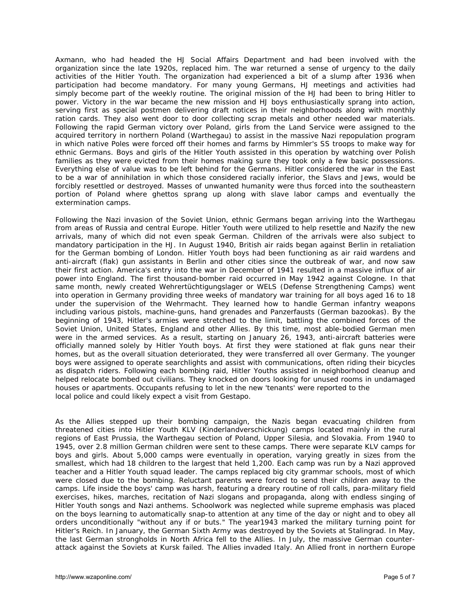Axmann, who had headed the HJ Social Affairs Department and had been involved with the organization since the late 1920s, replaced him. The war returned a sense of urgency to the daily activities of the Hitler Youth. The organization had experienced a bit of a slump after 1936 when participation had become mandatory. For many young Germans, HJ meetings and activities had simply become part of the weekly routine. The original mission of the HJ had been to bring Hitler to power. Victory in the war became the new mission and HJ boys enthusiastically sprang into action, serving first as special postmen delivering draft notices in their neighborhoods along with monthly ration cards. They also went door to door collecting scrap metals and other needed war materials. Following the rapid German victory over Poland, girls from the Land Service were assigned to the acquired territory in northern Poland (*Warthegau*) to assist in the massive Nazi repopulation program in which native Poles were forced off their homes and farms by Himmler's SS troops to make way for ethnic Germans. Boys and girls of the Hitler Youth assisted in this operation by watching over Polish families as they were evicted from their homes making sure they took only a few basic possessions. Everything else of value was to be left behind for the Germans. Hitler considered the war in the East to be a war of annihilation in which those considered racially inferior, the Slavs and Jews, would be forcibly resettled or destroyed. Masses of unwanted humanity were thus forced into the southeastern portion of Poland where ghettos sprang up along with slave labor camps and eventually the extermination camps.

Following the Nazi invasion of the Soviet Union, ethnic Germans began arriving into the Warthegau from areas of Russia and central Europe. Hitler Youth were utilized to help resettle and Nazify the new arrivals, many of which did not even speak German. Children of the arrivals were also subject to mandatory participation in the HJ. In August 1940, British air raids began against Berlin in retaliation for the German bombing of London. Hitler Youth boys had been functioning as air raid wardens and anti-aircraft (flak) gun assistants in Berlin and other cities since the outbreak of war, and now saw their first action. America's entry into the war in December of 1941 resulted in a massive influx of air power into England. The first thousand-bomber raid occurred in May 1942 against Cologne. In that same month, newly created *Wehrertüchtigungslager* or WELS (Defense Strengthening Camps) went into operation in Germany providing three weeks of mandatory war training for all boys aged 16 to 18 under the supervision of the *Wehrmacht*. They learned how to handle German infantry weapons including various pistols, machine-guns, hand grenades and *Panzerfausts* (German bazookas). By the beginning of 1943, Hitler's armies were stretched to the limit, battling the combined forces of the Soviet Union, United States, England and other Allies. By this time, most able-bodied German men were in the armed services. As a result, starting on January 26, 1943, anti-aircraft batteries were officially manned solely by Hitler Youth boys. At first they were stationed at flak guns near their homes, but as the overall situation deteriorated, they were transferred all over Germany. The younger boys were assigned to operate searchlights and assist with communications, often riding their bicycles as dispatch riders. Following each bombing raid, Hitler Youths assisted in neighborhood cleanup and helped relocate bombed out civilians. They knocked on doors looking for unused rooms in undamaged houses or apartments. Occupants refusing to let in the new 'tenants' were reported to the local police and could likely expect a visit from Gestapo.

As the Allies stepped up their bombing campaign, the Nazis began evacuating children from threatened cities into Hitler Youth KLV (*Kinderlandverschickung*) camps located mainly in the rural regions of East Prussia, the Warthegau section of Poland, Upper Silesia, and Slovakia. From 1940 to 1945, over 2.8 million German children were sent to these camps. There were separate KLV camps for boys and girls. About 5,000 camps were eventually in operation, varying greatly in sizes from the smallest, which had 18 children to the largest that held 1,200. Each camp was run by a Nazi approved teacher and a Hitler Youth squad leader. The camps replaced big city grammar schools, most of which were closed due to the bombing. Reluctant parents were forced to send their children away to the camps. Life inside the boys' camp was harsh, featuring a dreary routine of roll calls, para-military field exercises, hikes, marches, recitation of Nazi slogans and propaganda, along with endless singing of Hitler Youth songs and Nazi anthems. Schoolwork was neglected while supreme emphasis was placed on the boys learning to automatically snap-to attention at any time of the day or night and to obey all orders unconditionally "without any if or buts." The year1943 marked the military turning point for Hitler's Reich. In January, the German Sixth Army was destroyed by the Soviets at Stalingrad. In May, the last German strongholds in North Africa fell to the Allies. In July, the massive German counterattack against the Soviets at Kursk failed. The Allies invaded Italy. An Allied front in northern Europe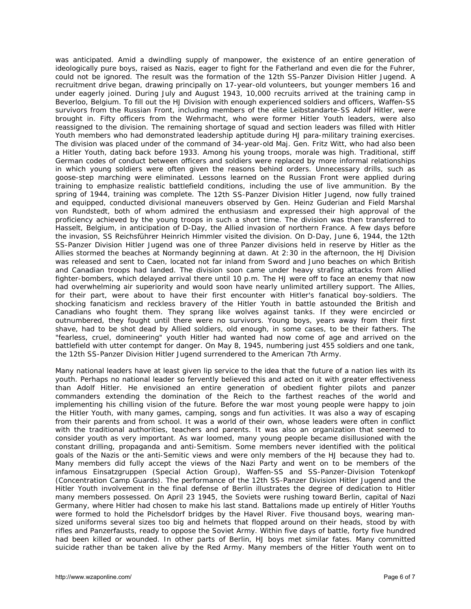was anticipated. Amid a dwindling supply of manpower, the existence of an entire generation of ideologically pure boys, raised as Nazis, eager to fight for the Fatherland and even die for the *Fuhrer*, could not be ignored. The result was the formation of the *12th SS-Panzer Division Hitler Jugend*. A recruitment drive began, drawing principally on 17-year-old volunteers, but younger members 16 and under eagerly joined. During July and August 1943, 10,000 recruits arrived at the training camp in Beverloo, Belgium. To fill out the HJ Division with enough experienced soldiers and officers, Waffen-SS survivors from the Russian Front, including members of the elite *Leibstandarte-SS Adolf Hitler*, were brought in. Fifty officers from the *Wehrmacht*, who were former Hitler Youth leaders, were also reassigned to the division. The remaining shortage of squad and section leaders was filled with Hitler Youth members who had demonstrated leadership aptitude during HJ para-military training exercises. The division was placed under of the command of 34-year-old Maj. Gen. Fritz Witt, who had also been a Hitler Youth, dating back before 1933. Among his young troops, morale was high. Traditional, stiff German codes of conduct between officers and soldiers were replaced by more informal relationships in which young soldiers were often given the reasons behind orders. Unnecessary drills, such as goose-step marching were eliminated. Lessons learned on the Russian Front were applied during training to emphasize realistic battlefield conditions, including the use of live ammunition. By the spring of 1944, training was complete. The *12th SS-Panzer Division Hitler Jugend*, now fully trained and equipped, conducted divisional maneuvers observed by Gen. Heinz Guderian and Field Marshal von Rundstedt, both of whom admired the enthusiasm and expressed their high approval of the proficiency achieved by the young troops in such a short time. The division was then transferred to Hasselt, Belgium, in anticipation of D-Day, the Allied invasion of northern France. A few days before the invasion, SS Reichsführer Heinrich Himmler visited the division. On D-Day, June 6, 1944, the *12th SS-Panzer Division Hitler Jugend* was one of three Panzer divisions held in reserve by Hitler as the Allies stormed the beaches at Normandy beginning at dawn. At 2:30 in the afternoon, the HJ Division was released and sent to Caen, located not far inland from Sword and Juno beaches on which British and Canadian troops had landed. The division soon came under heavy strafing attacks from Allied fighter-bombers, which delayed arrival there until 10 p.m. The HJ were off to face an enemy that now had overwhelming air superiority and would soon have nearly unlimited artillery support. The Allies, for their part, were about to have their first encounter with Hitler's fanatical boy-soldiers. The shocking fanaticism and reckless bravery of the Hitler Youth in battle astounded the British and Canadians who fought them. They sprang like wolves against tanks. If they were encircled or outnumbered, they fought until there were no survivors. Young boys, years away from their first shave, had to be shot dead by Allied soldiers, old enough, in some cases, to be their fathers. The "fearless, cruel, domineering" youth Hitler had wanted had now come of age and arrived on the battlefield with utter contempt for danger. On May 8, 1945, numbering just 455 soldiers and one tank, the *12th SS-Panzer Division Hitler Jugend* surrendered to the American 7th Army.

Many national leaders have at least given lip service to the idea that the future of a nation lies with its youth. Perhaps no national leader so fervently believed this and acted on it with greater effectiveness than Adolf Hitler. He envisioned an entire generation of obedient fighter pilots and panzer commanders extending the domination of the Reich to the farthest reaches of the world and implementing his chilling vision of the future. Before the war most young people were happy to join the Hitler Youth, with many games, camping, songs and fun activities. It was also a way of escaping from their parents and from school. It was a world of their own, whose leaders were often in conflict with the traditional authorities, teachers and parents. It was also an organization that seemed to consider youth as very important. As war loomed, many young people became disillusioned with the constant drilling, propaganda and anti-Semitism. Some members never identified with the political goals of the Nazis or the anti-Semitic views and were only members of the HJ because they had to. Many members did fully accept the views of the Nazi Party and went on to be members of the infamous *Einsatzgruppen* (Special Action Group), *Waffen-SS* and *SS-Panzer-Division Totenkopf* (Concentration Camp Guards). The performance of the *12th SS-Panzer Division Hitler Jugend* and the Hitler Youth involvement in the final defense of Berlin illustrates the degree of dedication to Hitler many members possessed. On April 23 1945, the Soviets were rushing toward Berlin, capital of Nazi Germany, where Hitler had chosen to make his last stand. Battalions made up entirely of Hitler Youths were formed to hold the Pichelsdorf bridges by the Havel River. Five thousand boys, wearing mansized uniforms several sizes too big and helmets that flopped around on their heads, stood by with rifles and *Panzerfausts*, ready to oppose the Soviet Army. Within five days of battle, forty five hundred had been killed or wounded. In other parts of Berlin, HJ boys met similar fates. Many committed suicide rather than be taken alive by the Red Army. Many members of the Hitler Youth went on to